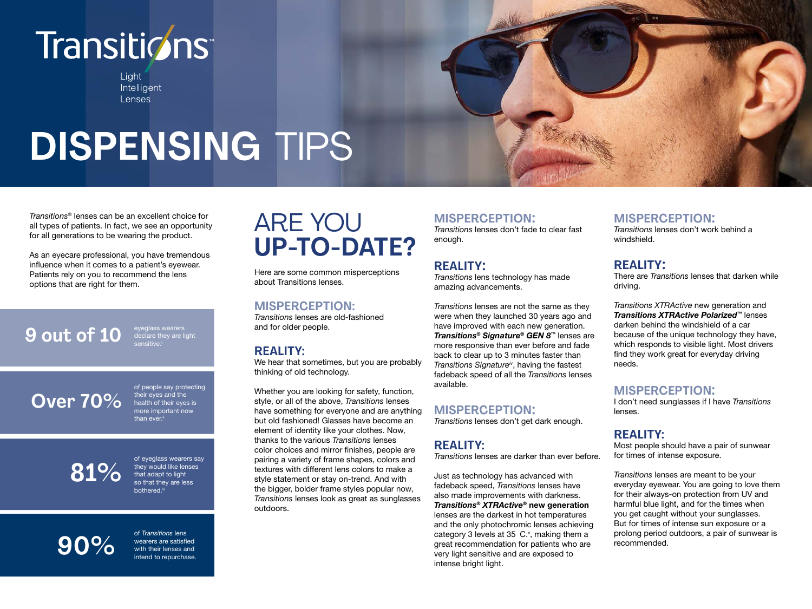## Transitions<sup>®</sup>

Light Intelligent Lenses

# **DISPENSING** TIPS

*Transitions®* lenses can be an excellent choice for all types of patients. In fact, we see an opportunity for all generations to be wearing the product.

As an eyecare professional, you have tremendous influence when it comes to a patient's eyewear. Patients rely on you to recommend the lens options that are right for them.

### **9 out of 10** eyeglass wearers

**Over 70%** of people say protecting their eyes and the health of their eyes is ore important now than ever.

## **81%**

of eyeglass wearers say they would like lenses that adapt to light so that they are less bothered<sup>ii</sup>

### **90%** of *Transitions* lens<br>wearers are satisfied<br>with their lenses a

wearers are satisfied with their lenses and intend to repurchase.

### ARE YOU **UP-TO-DATE?**

Here are some common misperceptions about Transitions lenses.

#### **MISPERCEPTION:**

*Transitions* lenses are old-fashioned and for older people.

#### **REALITY:**

We hear that sometimes, but you are probably thinking of old technology.

Whether you are looking for safety, function, style, or all of the above, *Transitions* lenses have something for everyone and are anything but old fashioned! Glasses have become an element of identity like your clothes. Now, thanks to the various *Transitions* lenses color choices and mirror finishes, people are pairing a variety of frame shapes, colors and textures with different lens colors to make a style statement or stay on-trend. And with the bigger, bolder frame styles popular now, *Transitions* lenses look as great as sunglasses outdoors.

**MISPERCEPTION:** *Transitions* lenses don't fade to clear fast

#### **REALITY:**

enough.

*Transitions* lens technology has made amazing advancements.

*Transitions* lenses are not the same as they were when they launched 30 years ago and have improved with each new generation. *Transitions® Signature® GEN 8™* lenses are more responsive than ever before and fade back to clear up to 3 minutes faster than *Transitions Signatureiv*, having the fastest fadeback speed of all the *Transitions* lenses available.

#### **MISPERCEPTION:**

*Transitions* lenses don't get dark enough.

#### **REALITY:**

*Transitions* lenses are darker than ever before.

Just as technology has advanced with fadeback speed, *Transitions* lenses have also made improvements with darkness. *Transitions® XTRActive®* **new generation** lenses are the darkest in hot temperatures and the only photochromic lenses achieving category 3 levels at  $35\,$  C. $\cdot$ , making them a great recommendation for patients who are very light sensitive and are exposed to intense bright light.

**MISPERCEPTION:** *Transitions* lenses don't work behind a windshield.

#### **REALITY:**

There are *Transitions* lenses that darken while driving.

*Transitions XTRActive* new generation and *Transitions XTRActive Polarized™* lenses darken behind the windshield of a car because of the unique technology they have, which responds to visible light. Most drivers find they work great for everyday driving needs.

#### **MISPERCEPTION:**

I don't need sunglasses if I have *Transitions* lenses.

#### **REALITY:**

Most people should have a pair of sunwear for times of intense exposure.

*Transitions* lenses are meant to be your everyday eyewear. You are going to love them for their always-on protection from UV and harmful blue light, and for the times when you get caught without your sunglasses. But for times of intense sun exposure or a prolong period outdoors, a pair of sunwear is recommended.